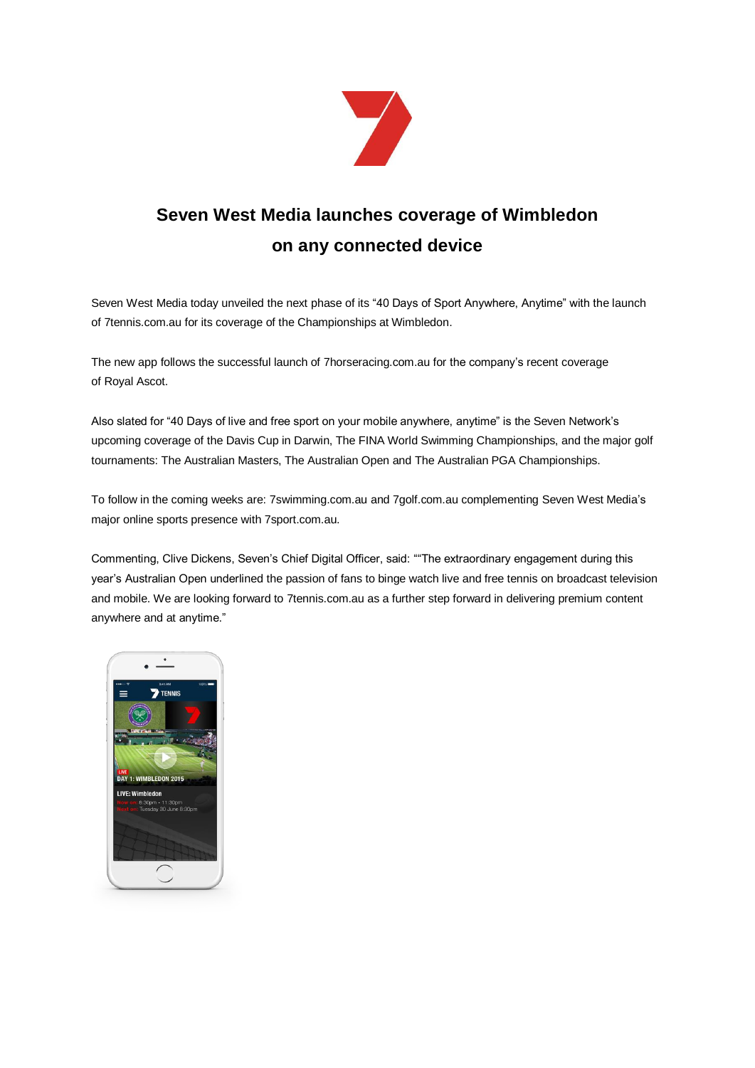

## **Seven West Media launches coverage of Wimbledon on any connected device**

Seven West Media today unveiled the next phase of its "40 Days of Sport Anywhere, Anytime" with the launch of 7tennis.com.au for its coverage of the Championships at Wimbledon.

The new app follows the successful launch of 7horseracing.com.au for the company's recent coverage of Royal Ascot.

Also slated for "40 Days of live and free sport on your mobile anywhere, anytime" is the Seven Network's upcoming coverage of the Davis Cup in Darwin, The FINA World Swimming Championships, and the major golf tournaments: The Australian Masters, The Australian Open and The Australian PGA Championships.

To follow in the coming weeks are: 7swimming.com.au and 7golf.com.au complementing Seven West Media's major online sports presence with 7sport.com.au.

Commenting, Clive Dickens, Seven's Chief Digital Officer, said: ""The extraordinary engagement during this year's Australian Open underlined the passion of fans to binge watch live and free tennis on broadcast television and mobile. We are looking forward to [7tennis.com.au](http://7tennis.com.au/) as a further step forward in delivering premium content anywhere and at anytime."

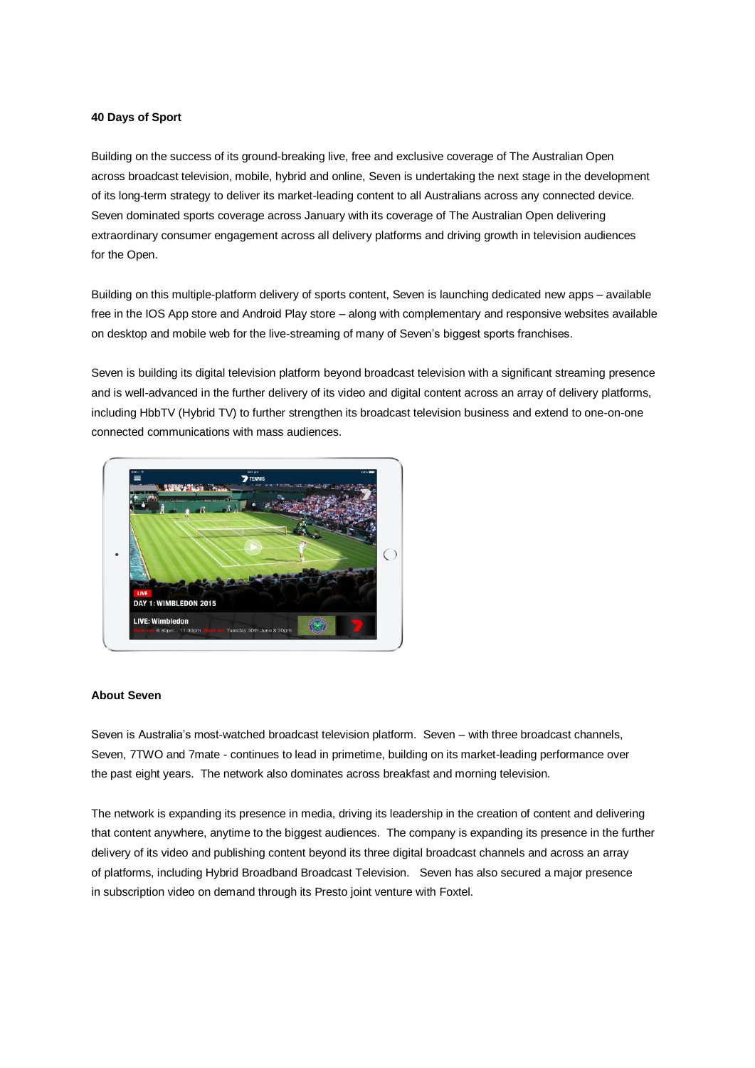## **40 Days of Sport**

Building on the success of its ground-breaking live, free and exclusive coverage of The Australian Open across broadcast television, mobile, hybrid and online, Seven is undertaking the next stage in the development of its long-term strategy to deliver its market-leading content to all Australians across any connected device. Seven dominated sports coverage across January with its coverage of The Australian Open delivering extraordinary consumer engagement across all delivery platforms and driving growth in television audiences for the Open.

Building on this multiple-platform delivery of sports content, Seven is launching dedicated new apps – available free in the IOS App store and Android Play store – along with complementary and responsive websites available on desktop and mobile web for the live-streaming of many of Seven's biggest sports franchises.

Seven is building its digital television platform beyond broadcast television with a significant streaming presence and is well-advanced in the further delivery of its video and digital content across an array of delivery platforms, including HbbTV (Hybrid TV) to further strengthen its broadcast television business and extend to one-on-one connected communications with mass audiences.



## **About Seven**

Seven is Australia's most-watched broadcast television platform. Seven – with three broadcast channels, Seven, 7TWO and 7mate - continues to lead in primetime, building on its market-leading performance over the past eight years. The network also dominates across breakfast and morning television.

The network is expanding its presence in media, driving its leadership in the creation of content and delivering that content anywhere, anytime to the biggest audiences. The company is expanding its presence in the further delivery of its video and publishing content beyond its three digital broadcast channels and across an array of platforms, including Hybrid Broadband Broadcast Television. Seven has also secured a major presence in subscription video on demand through its Presto joint venture with Foxtel.